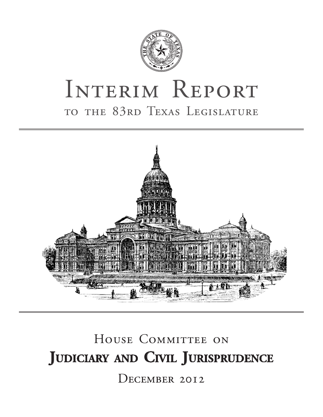

# INTERIM REPORT to the 83rd Texas Legislature



# HOUSE COMMITTEE ON **Judiciary and Civil Jurisprudence** December 2012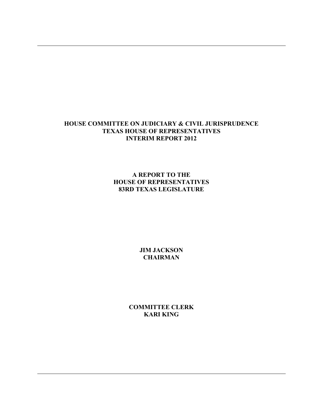## **HOUSE COMMITTEE ON JUDICIARY & CIVIL JURISPRUDENCE TEXAS HOUSE OF REPRESENTATIVES INTERIM REPORT 2012**

**A REPORT TO THE HOUSE OF REPRESENTATIVES 83RD TEXAS LEGISLATURE** 

> **JIM JACKSON CHAIRMAN**

**COMMITTEE CLERK KARI KING**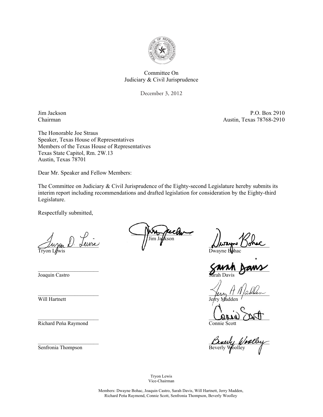

#### Committee On Judiciary & Civil Jurisprudence

December 3, 2012 December 3, 2012

Jim Jackson P.O. Box 2910 Chairman Austin, Texas 78768-2910

The Honorable Joe Straus Speaker, Texas House of Representatives Members of the Texas House of Representatives Texas State Capitol, Rm. 2W.13 Austin, Texas 78701

Dear Mr. Speaker and Fellow Members:

The Committee on Judiciary & Civil Jurisprudence of the Eighty-second Legislature hereby submits its interim report including recommendations and drafted legislation for consideration by the Eighty-third Legislature.

Respectfully submitted,

 $\sqrt{\mu_{\rm max} \nu}$  deure Tryon L $\oint$ wis

\_\_\_\_\_\_\_\_\_\_\_\_\_\_\_\_\_\_\_\_\_\_\_

\_\_\_\_\_\_\_\_\_\_\_\_\_\_\_\_\_\_\_\_\_\_\_

\_\_\_\_\_\_\_\_\_\_\_\_\_\_\_\_\_\_\_\_\_\_\_

\_\_\_\_\_\_\_\_\_\_\_\_\_\_\_\_\_\_\_\_\_\_\_

Joaquin Castro

Will Hartnett

Richard Peńa Raymond

 $\sim$ Jim Ja**g⁄**kson

 $\Delta$ hiayo Uonac

 $hac$ 

\_\_\_\_\_\_\_\_\_\_\_\_\_\_\_\_\_\_\_\_\_\_\_ Sarah Davis

 $\ell$ erry 1111/assen

Jerry Madden

 $U_{\mathcal{U}}$  using Connie Scott

Dinery Woolby Beverly Woolley

Tryon Lewis Vice-Chairman

Members: Dwayne Bohac, Joaquin Castro, Sarah Davis, Will Hartnett, Jerry Madden, Richard Peńa Raymond, Connie Scott, Senfronia Thompson, Beverly Woolley

Senfronia Thompson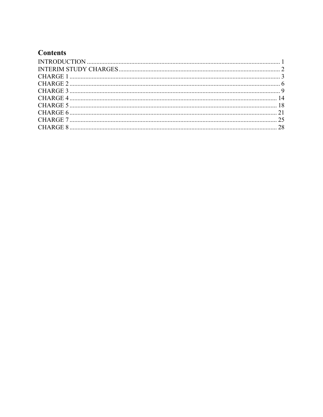# **Contents**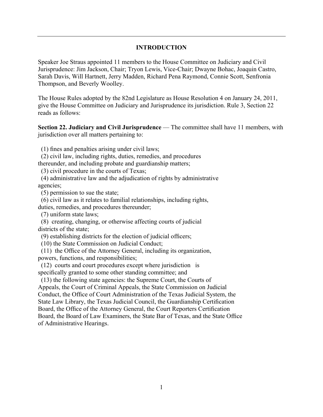## **INTRODUCTION**

Speaker Joe Straus appointed 11 members to the House Committee on Judiciary and Civil Jurisprudence: Jim Jackson, Chair; Tryon Lewis, Vice-Chair; Dwayne Bohac, Joaquin Castro, Sarah Davis, Will Hartnett, Jerry Madden, Richard Pena Raymond, Connie Scott, Senfronia Thompson, and Beverly Woolley.

The House Rules adopted by the 82nd Legislature as House Resolution 4 on January 24, 2011, give the House Committee on Judiciary and Jurisprudence its jurisdiction. Rule 3, Section 22 reads as follows:

**Section 22. Judiciary and Civil Jurisprudence** — The committee shall have 11 members, with jurisdiction over all matters pertaining to:

(1) fines and penalties arising under civil laws;

(2) civil law, including rights, duties, remedies, and procedures

thereunder, and including probate and guardianship matters;

(3) civil procedure in the courts of Texas;

 (4) administrative law and the adjudication of rights by administrative agencies;

(5) permission to sue the state;

(6) civil law as it relates to familial relationships, including rights,

duties, remedies, and procedures thereunder;

(7) uniform state laws;

 (8) creating, changing, or otherwise affecting courts of judicial districts of the state;

(9) establishing districts for the election of judicial officers;

(10) the State Commission on Judicial Conduct;

(11) the Office of the Attorney General, including its organization,

powers, functions, and responsibilities;

 (12) courts and court procedures except where jurisdiction is specifically granted to some other standing committee; and

 (13) the following state agencies: the Supreme Court, the Courts of Appeals, the Court of Criminal Appeals, the State Commission on Judicial Conduct, the Office of Court Administration of the Texas Judicial System, the State Law Library, the Texas Judicial Council, the Guardianship Certification Board, the Office of the Attorney General, the Court Reporters Certification Board, the Board of Law Examiners, the State Bar of Texas, and the State Office of Administrative Hearings.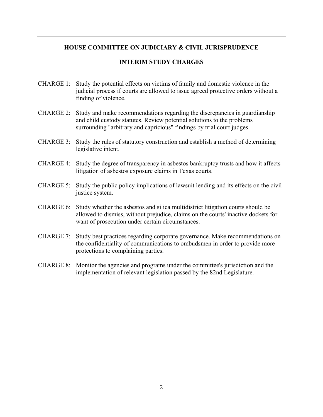## **HOUSE COMMITTEE ON JUDICIARY & CIVIL JURISPRUDENCE**

## **INTERIM STUDY CHARGES**

- CHARGE 1: Study the potential effects on victims of family and domestic violence in the judicial process if courts are allowed to issue agreed protective orders without a finding of violence.
- CHARGE 2: Study and make recommendations regarding the discrepancies in guardianship and child custody statutes. Review potential solutions to the problems surrounding "arbitrary and capricious" findings by trial court judges.
- CHARGE 3: Study the rules of statutory construction and establish a method of determining legislative intent.
- CHARGE 4: Study the degree of transparency in asbestos bankruptcy trusts and how it affects litigation of asbestos exposure claims in Texas courts.
- CHARGE 5: Study the public policy implications of lawsuit lending and its effects on the civil justice system.
- CHARGE 6: Study whether the asbestos and silica multidistrict litigation courts should be allowed to dismiss, without prejudice, claims on the courts' inactive dockets for want of prosecution under certain circumstances.
- CHARGE 7: Study best practices regarding corporate governance. Make recommendations on the confidentiality of communications to ombudsmen in order to provide more protections to complaining parties.
- CHARGE 8: Monitor the agencies and programs under the committee's jurisdiction and the implementation of relevant legislation passed by the 82nd Legislature.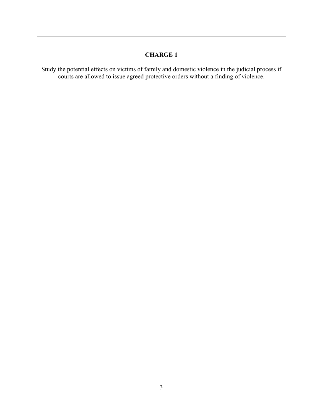Study the potential effects on victims of family and domestic violence in the judicial process if courts are allowed to issue agreed protective orders without a finding of violence.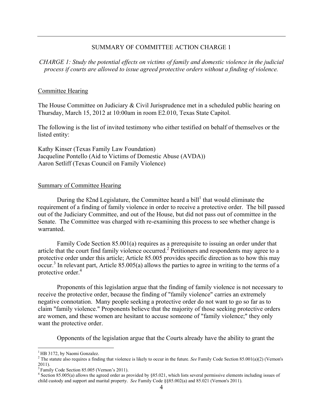*CHARGE 1: Study the potential effects on victims of family and domestic violence in the judicial process if courts are allowed to issue agreed protective orders without a finding of violence.* 

#### Committee Hearing

The House Committee on Judiciary & Civil Jurisprudence met in a scheduled public hearing on Thursday, March 15, 2012 at 10:00am in room E2.010, Texas State Capitol.

The following is the list of invited testimony who either testified on behalf of themselves or the listed entity:

Kathy Kinser (Texas Family Law Foundation) Jacqueline Pontello (Aid to Victims of Domestic Abuse (AVDA)) Aaron Setliff (Texas Council on Family Violence)

#### Summary of Committee Hearing

During the 82nd Legislature, the Committee heard a bill<sup>1</sup> that would eliminate the requirement of a finding of family violence in order to receive a protective order. The bill passed out of the Judiciary Committee, and out of the House, but did not pass out of committee in the Senate. The Committee was charged with re-examining this process to see whether change is warranted.

Family Code Section 85.001(a) requires as a prerequisite to issuing an order under that article that the court find family violence occurred.<sup>2</sup> Petitioners and respondents may agree to a protective order under this article; Article 85.005 provides specific direction as to how this may  $\text{occur.}^3$  In relevant part, Article 85.005(a) allows the parties to agree in writing to the terms of a protective order.<sup>4</sup>

Proponents of this legislation argue that the finding of family violence is not necessary to receive the protective order, because the finding of "family violence" carries an extremely negative connotation. Many people seeking a protective order do not want to go so far as to claim "family violence." Proponents believe that the majority of those seeking protective orders are women, and these women are hesitant to accuse someone of "family violence;" they only want the protective order.

Opponents of the legislation argue that the Courts already have the ability to grant the

1

<sup>&</sup>lt;sup>1</sup> HB 3172, by Naomi Gonzalez.

<sup>2</sup> The statute also requires a finding that violence is likely to occur in the future. *See* Family Code Section 85.001(a)(2) (Vernon's  $2011$ ).

Family Code Section 85.005 (Vernon's 2011).

<sup>&</sup>lt;sup>4</sup> Section 85.005(a) allows the agreed order as provided by §85.021, which lists several permissive elements including issues of child custody and support and marital property. *See* Family Code §§85.002(a) and 85.021 (Vernon's 2011).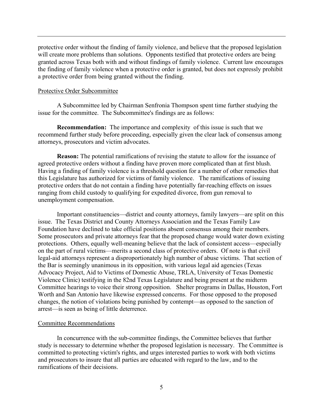protective order without the finding of family violence, and believe that the proposed legislation will create more problems than solutions. Opponents testified that protective orders are being granted across Texas both with and without findings of family violence. Current law encourages the finding of family violence when a protective order is granted, but does not expressly prohibit a protective order from being granted without the finding.

#### Protective Order Subcommittee

A Subcommittee led by Chairman Senfronia Thompson spent time further studying the issue for the committee. The Subcommittee's findings are as follows:

**Recommendation:** The importance and complexity of this issue is such that we recommend further study before proceeding, especially given the clear lack of consensus among attorneys, prosecutors and victim advocates.

 **Reason:** The potential ramifications of revising the statute to allow for the issuance of agreed protective orders without a finding have proven more complicated than at first blush. Having a finding of family violence is a threshold question for a number of other remedies that this Legislature has authorized for victims of family violence. The ramifications of issuing protective orders that do not contain a finding have potentially far-reaching effects on issues ranging from child custody to qualifying for expedited divorce, from gun removal to unemployment compensation.

Important constituencies—district and county attorneys, family lawyers—are split on this issue. The Texas District and County Attorneys Association and the Texas Family Law Foundation have declined to take official positions absent consensus among their members. Some prosecutors and private attorneys fear that the proposed change would water down existing protections. Others, equally well-meaning believe that the lack of consistent access—especially on the part of rural victims—merits a second class of protective orders. Of note is that civil legal-aid attorneys represent a disproportionately high number of abuse victims. That section of the Bar is seemingly unanimous in its opposition, with various legal aid agencies (Texas Advocacy Project, Aid to Victims of Domestic Abuse, TRLA, University of Texas Domestic Violence Clinic) testifying in the 82nd Texas Legislature and being present at the midterm Committee hearings to voice their strong opposition. Shelter programs in Dallas, Houston, Fort Worth and San Antonio have likewise expressed concerns. For those opposed to the proposed changes, the notion of violations being punished by contempt—as opposed to the sanction of arrest—is seen as being of little deterrence.

#### Committee Recommendations

In concurrence with the sub-committee findings, the Committee believes that further study is necessary to determine whether the proposed legislation is necessary. The Committee is committed to protecting victim's rights, and urges interested parties to work with both victims and prosecutors to insure that all parties are educated with regard to the law, and to the ramifications of their decisions.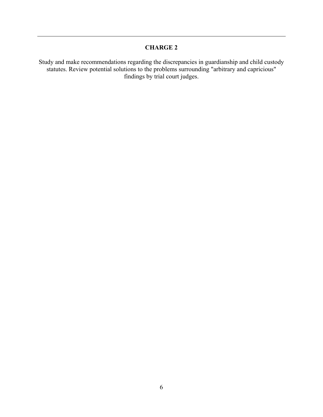Study and make recommendations regarding the discrepancies in guardianship and child custody statutes. Review potential solutions to the problems surrounding "arbitrary and capricious" findings by trial court judges.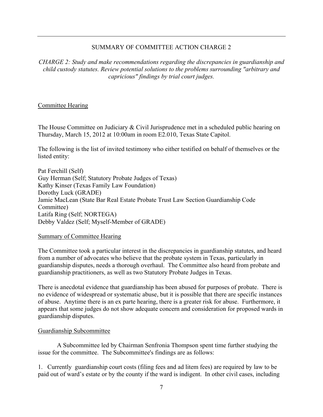*CHARGE 2: Study and make recommendations regarding the discrepancies in guardianship and child custody statutes. Review potential solutions to the problems surrounding "arbitrary and capricious" findings by trial court judges.*

## Committee Hearing

The House Committee on Judiciary & Civil Jurisprudence met in a scheduled public hearing on Thursday, March 15, 2012 at 10:00am in room E2.010, Texas State Capitol.

The following is the list of invited testimony who either testified on behalf of themselves or the listed entity:

Pat Ferchill (Self) Guy Herman (Self; Statutory Probate Judges of Texas) Kathy Kinser (Texas Family Law Foundation) Dorothy Luck (GRADE) Jamie MacLean (State Bar Real Estate Probate Trust Law Section Guardianship Code Committee) Latifa Ring (Self; NORTEGA) Debby Valdez (Self; Myself-Member of GRADE)

## Summary of Committee Hearing

The Committee took a particular interest in the discrepancies in guardianship statutes, and heard from a number of advocates who believe that the probate system in Texas, particularly in guardianship disputes, needs a thorough overhaul. The Committee also heard from probate and guardianship practitioners, as well as two Statutory Probate Judges in Texas.

There is anecdotal evidence that guardianship has been abused for purposes of probate. There is no evidence of widespread or systematic abuse, but it is possible that there are specific instances of abuse. Anytime there is an ex parte hearing, there is a greater risk for abuse. Furthermore, it appears that some judges do not show adequate concern and consideration for proposed wards in guardianship disputes.

## Guardianship Subcommittee

 A Subcommittee led by Chairman Senfronia Thompson spent time further studying the issue for the committee. The Subcommittee's findings are as follows:

1. Currently guardianship court costs (filing fees and ad litem fees) are required by law to be paid out of ward's estate or by the county if the ward is indigent. In other civil cases, including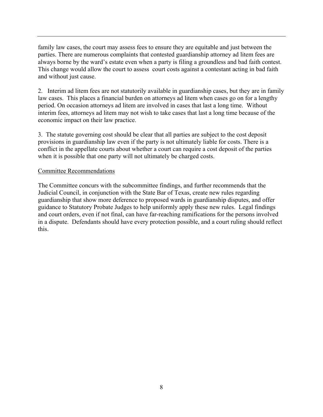family law cases, the court may assess fees to ensure they are equitable and just between the parties. There are numerous complaints that contested guardianship attorney ad litem fees are always borne by the ward's estate even when a party is filing a groundless and bad faith contest. This change would allow the court to assess court costs against a contestant acting in bad faith and without just cause.

2. Interim ad litem fees are not statutorily available in guardianship cases, but they are in family law cases. This places a financial burden on attorneys ad litem when cases go on for a lengthy period. On occasion attorneys ad litem are involved in cases that last a long time. Without interim fees, attorneys ad litem may not wish to take cases that last a long time because of the economic impact on their law practice.

3. The statute governing cost should be clear that all parties are subject to the cost deposit provisions in guardianship law even if the party is not ultimately liable for costs. There is a conflict in the appellate courts about whether a court can require a cost deposit of the parties when it is possible that one party will not ultimately be charged costs.

## Committee Recommendations

The Committee concurs with the subcommittee findings, and further recommends that the Judicial Council, in conjunction with the State Bar of Texas, create new rules regarding guardianship that show more deference to proposed wards in guardianship disputes, and offer guidance to Statutory Probate Judges to help uniformly apply these new rules. Legal findings and court orders, even if not final, can have far-reaching ramifications for the persons involved in a dispute. Defendants should have every protection possible, and a court ruling should reflect this.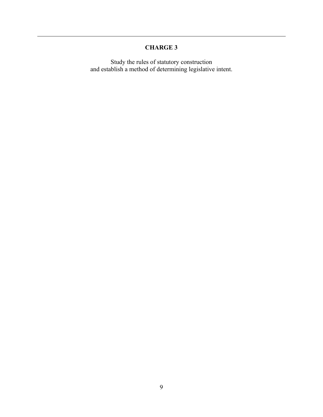Study the rules of statutory construction and establish a method of determining legislative intent.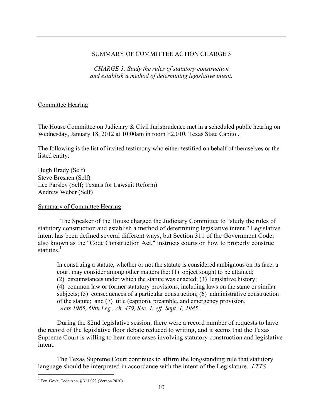*CHARGE 3: Study the rules of statutory construction and establish a method of determining legislative intent.* 

## Committee Hearing

The House Committee on Judiciary & Civil Jurisprudence met in a scheduled public hearing on Wednesday, January 18, 2012 at 10:00am in room E2.010, Texas State Capitol.

The following is the list of invited testimony who either testified on behalf of themselves or the listed entity:

Hugh Brady (Self) Steve Bresnen (Self) Lee Parsley (Self; Texans for Lawsuit Reform) Andrew Weber (Self)

### Summary of Committee Hearing

The Speaker of the House charged the Judiciary Committee to "study the rules of statutory construction and establish a method of determining legislative intent." Legislative intent has been defined several different ways, but Section 311 of the Government Code, also known as the "Code Construction Act," instructs courts on how to properly construe statutes. $1$ 

In construing a statute, whether or not the statute is considered ambiguous on its face, a court may consider among other matters the: (1) object sought to be attained; (2) circumstances under which the statute was enacted; (3) legislative history; (4) common law or former statutory provisions, including laws on the same or similar subjects; (5) consequences of a particular construction; (6) administrative construction of the statute; and (7) title (caption), preamble, and emergency provision. *Acts 1985, 69th Leg., ch. 479, Sec. 1, eff. Sept. 1, 1985.* 

During the 82nd legislative session, there were a record number of requests to have the record of the legislative floor debate reduced to writing, and it seems that the Texas Supreme Court is willing to hear more cases involving statutory construction and legislative intent.

The Texas Supreme Court continues to affirm the longstanding rule that statutory language should be interpreted in accordance with the intent of the Legislature. *LTTS* 

 $\overline{a}$ 

 $1$  Tex. Gov't. Code Ann. § 311.023 (Vernon 2010).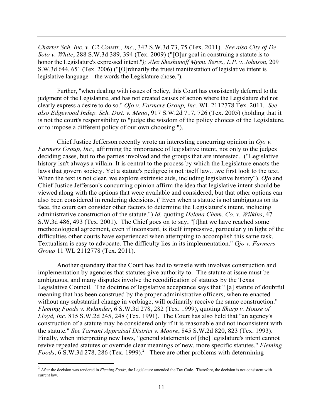*Charter Sch. Inc. v. C2 Constr., Inc*., 342 S.W.3d 73, 75 (Tex. 2011). *See also City of De Soto v. White*, 288 S.W.3d 389, 394 (Tex. 2009) ("[O]ur goal in construing a statute is to honor the Legislature's expressed intent."*); Alex Sheshunoff Mgmt. Servs., L.P. v. Johnson*, 209 S.W.3d 644, 651 (Tex. 2006) ("[O]rdinarily the truest manifestation of legislative intent is legislative language—the words the Legislature chose.").

Further, "when dealing with issues of policy, this Court has consistently deferred to the judgment of the Legislature, and has not created causes of action where the Legislature did not clearly express a desire to do so." *Ojo v. Farmers Group, Inc.* WL 2112778 Tex. 2011. *See also Edgewood Indep. Sch. Dist. v. Meno*, 917 S.W.2d 717, 726 (Tex. 2005) (holding that it is not the court's responsibility to "judge the wisdom of the policy choices of the Legislature, or to impose a different policy of our own choosing.").

Chief Justice Jefferson recently wrote an interesting concurring opinion in *Ojo v. Farmers Group, Inc.,* affirming the importance of legislative intent, not only to the judges deciding cases, but to the parties involved and the groups that are interested. ("Legislative history isn't always a villain. It is central to the process by which the Legislature enacts the laws that govern society. Yet a statute's pedigree is not itself law…we first look to the text. When the text is not clear, we explore extrinsic aids, including legislative history"). *Ojo* and Chief Justice Jefferson's concurring opinion affirm the idea that legislative intent should be viewed along with the options that were available and considered, but that other options can also been considered in rendering decisions. ("Even when a statute is not ambiguous on its face, the court can consider other factors to determine the Legislature's intent, including administrative construction of the statute.") *Id.* quoting *Helena Chem. Co. v. Wilkins*, 47 S.W.3d 486, 493 (Tex. 2001). The Chief goes on to say, "[t]hat we have reached some methodological agreement, even if inconstant, is itself impressive, particularly in light of the difficulties other courts have experienced when attempting to accomplish this same task. Textualism is easy to advocate. The difficulty lies in its implementation." *Ojo v. Farmers Group* 11 WL 2112778 (Tex. 2011).

Another quandary that the Court has had to wrestle with involves construction and implementation by agencies that statutes give authority to. The statute at issue must be ambiguous, and many disputes involve the recodification of statutes by the Texas Legislative Council. The doctrine of legislative acceptance says that " [a] statute of doubtful meaning that has been construed by the proper administrative officers, when re-enacted without any substantial change in verbiage, will ordinarily receive the same construction." *Fleming Foods v. Rylander*, 6 S.W.3d 278, 282 (Tex. 1999), quoting *Sharp v. House of Lloyd, Inc*. 815 S.W.2d 245, 248 (Tex. 1991). The Court has also held that "an agency's construction of a statute may be considered only if it is reasonable and not inconsistent with the statute." *See Tarrant Appraisal District v. Moore*, 845 S.W.2d 820, 823 (Tex. 1993). Finally, when interpreting new laws, "general statements of [the] legislature's intent cannot revive repealed statutes or override clear meanings of new, more specific statutes." *Fleming*   $Foods$ ,  $6$  S.W.3d 278, 286 (Tex. 1999).<sup>2</sup> There are other problems with determining

 $\overline{a}$ 

<sup>&</sup>lt;sup>2</sup> After the decision was rendered in *Fleming Foods*, the Legislature amended the Tax Code. Therefore, the decision is not consistent with current law.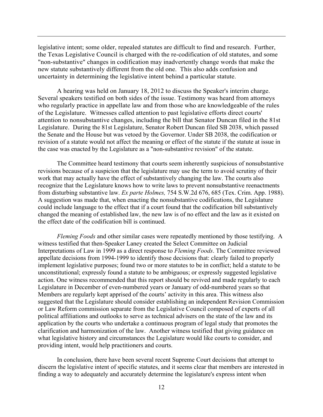legislative intent; some older, repealed statutes are difficult to find and research. Further, the Texas Legislative Council is charged with the re-codification of old statutes, and some "non-substantive" changes in codification may inadvertently change words that make the new statute substantively different from the old one. This also adds confusion and uncertainty in determining the legislative intent behind a particular statute.

 A hearing was held on January 18, 2012 to discuss the Speaker's interim charge. Several speakers testified on both sides of the issue. Testimony was heard from attorneys who regularly practice in appellate law and from those who are knowledgeable of the rules of the Legislature. Witnesses called attention to past legislative efforts direct courts' attention to nonsubstantive changes, including the bill that Senator Duncan filed in the 81st Legislature. During the 81st Legislature, Senator Robert Duncan filed SB 2038, which passed the Senate and the House but was vetoed by the Governor. Under SB 2038, the codification or revision of a statute would not affect the meaning or effect of the statute if the statute at issue in the case was enacted by the Legislature as a "non-substantive revision" of the statute.

The Committee heard testimony that courts seem inherently suspicious of nonsubstantive revisions because of a suspicion that the legislature may use the term to avoid scrutiny of their work that may actually have the effect of substantively changing the law. The courts also recognize that the Legislature knows how to write laws to prevent nonsubstantive reenactments from disturbing substantive law. *Ex parte Holmes,* 754 S.W.2d 676, 685 (Tex. Crim. App. 1988). A suggestion was made that, when enacting the nonsubstantive codifications, the Legislature could include language to the effect that if a court found that the codification bill substantively changed the meaning of established law, the new law is of no effect and the law as it existed on the effect date of the codification bill is continued.

*Fleming Foods* and other similar cases were repeatedly mentioned by those testifying. A witness testified that then-Speaker Laney created the Select Committee on Judicial Interpretations of Law in 1999 as a direct response to *Fleming Foods*. The Committee reviewed appellate decisions from 1994-1999 to identify those decisions that: clearly failed to properly implement legislative purposes; found two or more statutes to be in conflict; held a statute to be unconstitutional; expressly found a statute to be ambiguous; or expressly suggested legislative action. One witness recommended that this report should be revived and made regularly to each Legislature in December of even-numbered years or January of odd-numbered years so that Members are regularly kept apprised of the courts' activity in this area. This witness also suggested that the Legislature should consider establishing an independent Revision Commission or Law Reform commission separate from the Legislative Council composed of experts of all political affiliations and outlooks to serve as technical advisers on the state of the law and its application by the courts who undertake a continuous program of legal study that promotes the clarification and harmonization of the law. Another witness testified that giving guidance on what legislative history and circumstances the Legislature would like courts to consider, and providing intent, would help practitioners and courts.

In conclusion, there have been several recent Supreme Court decisions that attempt to discern the legislative intent of specific statutes, and it seems clear that members are interested in finding a way to adequately and accurately determine the legislature's express intent when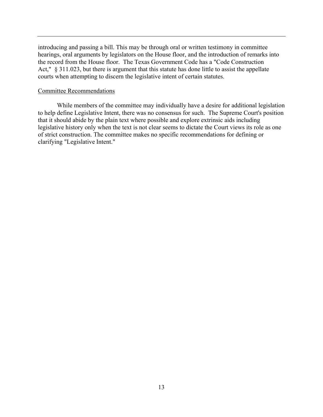introducing and passing a bill. This may be through oral or written testimony in committee hearings, oral arguments by legislators on the House floor, and the introduction of remarks into the record from the House floor. The Texas Government Code has a "Code Construction Act," § 311.023, but there is argument that this statute has done little to assist the appellate courts when attempting to discern the legislative intent of certain statutes.

#### Committee Recommendations

While members of the committee may individually have a desire for additional legislation to help define Legislative Intent, there was no consensus for such. The Supreme Court's position that it should abide by the plain text where possible and explore extrinsic aids including legislative history only when the text is not clear seems to dictate the Court views its role as one of strict construction. The committee makes no specific recommendations for defining or clarifying "Legislative Intent."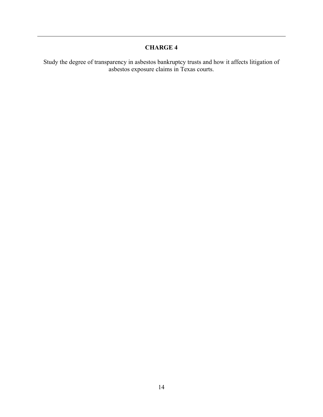Study the degree of transparency in asbestos bankruptcy trusts and how it affects litigation of asbestos exposure claims in Texas courts.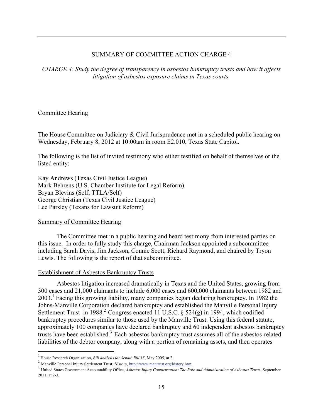*CHARGE 4: Study the degree of transparency in asbestos bankruptcy trusts and how it affects litigation of asbestos exposure claims in Texas courts.* 

#### Committee Hearing

The House Committee on Judiciary & Civil Jurisprudence met in a scheduled public hearing on Wednesday, February 8, 2012 at 10:00am in room E2.010, Texas State Capitol.

The following is the list of invited testimony who either testified on behalf of themselves or the listed entity:

Kay Andrews (Texas Civil Justice League) Mark Behrens (U.S. Chamber Institute for Legal Reform) Bryan Blevins (Self; TTLA/Self) George Christian (Texas Civil Justice League) Lee Parsley (Texans for Lawsuit Reform)

#### Summary of Committee Hearing

 $\overline{a}$ 

The Committee met in a public hearing and heard testimony from interested parties on this issue. In order to fully study this charge, Chairman Jackson appointed a subcommittee including Sarah Davis, Jim Jackson, Connie Scott, Richard Raymond, and chaired by Tryon Lewis. The following is the report of that subcommittee.

#### Establishment of Asbestos Bankruptcy Trusts

Asbestos litigation increased dramatically in Texas and the United States, growing from 300 cases and 21,000 claimants to include 6,000 cases and 600,000 claimants between 1982 and 2003.<sup>1</sup> Facing this growing liability, many companies began declaring bankruptcy. In 1982 the Johns-Manville Corporation declared bankruptcy and established the Manville Personal Injury Settlement Trust in 1988.<sup>2</sup> Congress enacted 11 U.S.C. § 524(g) in 1994, which codified bankruptcy procedures similar to those used by the Manville Trust. Using this federal statute, approximately 100 companies have declared bankruptcy and 60 independent asbestos bankruptcy trusts have been established.<sup>3</sup> Each asbestos bankruptcy trust assumes all of the asbestos-related liabilities of the debtor company, along with a portion of remaining assets, and then operates

<sup>1</sup> House Research Organization, *Bill analysis for Senate Bill 15*, May 2005, at 2.

<sup>2</sup> Manville Personal Injury Settlement Trust, *History*, http://www.mantrust.org/history.htm.

<sup>3</sup> United States Government Accountability Office, *Asbestos Injury Compensation: The Role and Administration of Asbestos Trusts*, September 2011, at 2-3.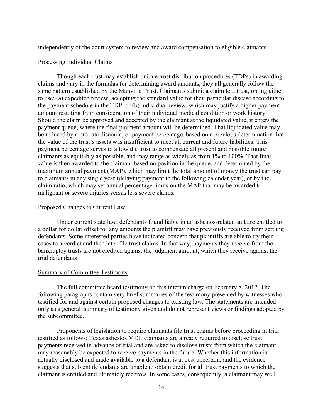independently of the court system to review and award compensation to eligible claimants.

#### Processing Individual Claims

Though each trust may establish unique trust distribution procedures (TDPs) in awarding claims and vary in the formulas for determining award amounts, they all generally follow the same pattern established by the Manville Trust. Claimants submit a claim to a trust, opting either to use: (a) expedited review, accepting the standard value for their particular disease according to the payment schedule in the TDP, or (b) individual review, which may justify a higher payment amount resulting from consideration of their individual medical condition or work history. Should the claim be approved and accepted by the claimant at the liquidated value, it enters the payment queue, where the final payment amount will be determined. That liquidated value may be reduced by a pro rata discount, or payment percentage, based on a previous determination that the value of the trust's assets was insufficient to meet all current and future liabilities. This payment percentage serves to allow the trust to compensate all present and possible future claimants as equitably as possible, and may range as widely as from 1% to 100%. That final value is then awarded to the claimant based on position in the queue, and determined by the maximum annual payment (MAP), which may limit the total amount of money the trust can pay to claimants in any single year (delaying payment to the following calendar year), or by the claim ratio, which may set annual percentage limits on the MAP that may be awarded to malignant or severe injuries versus less severe claims.

#### Proposed Changes to Current Law

Under current state law, defendants found liable in an asbestos-related suit are entitled to a dollar for dollar offset for any amounts the plaintiff may have previously received from settling defendants. Some interested parties have indicated concern that plaintiffs are able to try their cases to a verdict and then later file trust claims. In that way, payments they receive from the bankruptcy trusts are not credited against the judgment amount, which they receive against the trial defendants.

#### Summary of Committee Testimony

The full committee heard testimony on this interim charge on February 8, 2012. The following paragraphs contain very brief summaries of the testimony presented by witnesses who testified for and against certain proposed changes to existing law. The statements are intended only as a general summary of testimony given and do not represent views or findings adopted by the subcommittee.

Proponents of legislation to require claimants file trust claims before proceeding in trial testified as follows: Texas asbestos MDL claimants are already required to disclose trust payments received in advance of trial and are asked to disclose trusts from which the claimant may reasonably be expected to receive payments in the future. Whether this information is actually disclosed and made available to a defendant is at best uncertain, and the evidence suggests that solvent defendants are unable to obtain credit for all trust payments to which the claimant is entitled and ultimately receives. In some cases, consequently, a claimant may well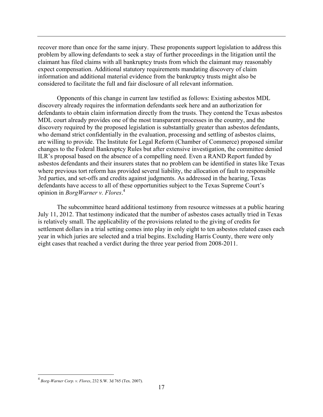recover more than once for the same injury. These proponents support legislation to address this problem by allowing defendants to seek a stay of further proceedings in the litigation until the claimant has filed claims with all bankruptcy trusts from which the claimant may reasonably expect compensation. Additional statutory requirements mandating discovery of claim information and additional material evidence from the bankruptcy trusts might also be considered to facilitate the full and fair disclosure of all relevant information.

Opponents of this change in current law testified as follows: Existing asbestos MDL discovery already requires the information defendants seek here and an authorization for defendants to obtain claim information directly from the trusts. They contend the Texas asbestos MDL court already provides one of the most transparent processes in the country, and the discovery required by the proposed legislation is substantially greater than asbestos defendants, who demand strict confidentially in the evaluation, processing and settling of asbestos claims, are willing to provide. The Institute for Legal Reform (Chamber of Commerce) proposed similar changes to the Federal Bankruptcy Rules but after extensive investigation, the committee denied ILR's proposal based on the absence of a compelling need. Even a RAND Report funded by asbestos defendants and their insurers states that no problem can be identified in states like Texas where previous tort reform has provided several liability, the allocation of fault to responsible 3rd parties, and set-offs and credits against judgments. As addressed in the hearing, Texas defendants have access to all of these opportunities subject to the Texas Supreme Court's opinion in *BorgWarner v. Flores*. 4 

The subcommittee heard additional testimony from resource witnesses at a public hearing July 11, 2012. That testimony indicated that the number of asbestos cases actually tried in Texas is relatively small. The applicability of the provisions related to the giving of credits for settlement dollars in a trial setting comes into play in only eight to ten asbestos related cases each year in which juries are selected and a trial begins. Excluding Harris County, there were only eight cases that reached a verdict during the three year period from 2008-2011.

 $\overline{a}$ 

<sup>4</sup>  *Borg-Warner Corp. v. Flores*, 232 S.W. 3d 765 (Tex. 2007).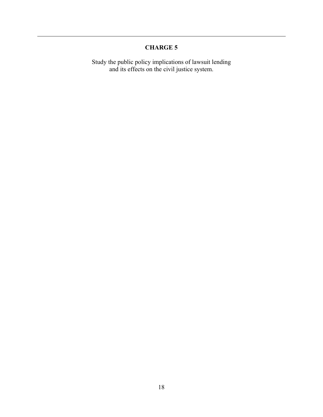Study the public policy implications of lawsuit lending and its effects on the civil justice system.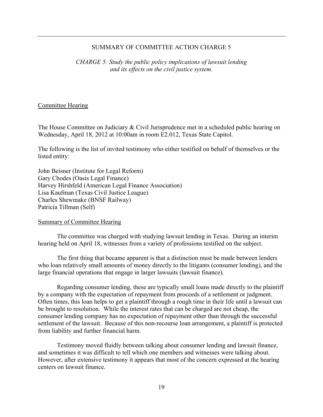*CHARGE 5: Study the public policy implications of lawsuit lending and its effects on the civil justice system.*

#### Committee Hearing

The House Committee on Judiciary & Civil Jurisprudence met in a scheduled public hearing on Wednesday, April 18, 2012 at 10:00am in room E2.012, Texas State Capitol.

The following is the list of invited testimony who either testified on behalf of themselves or the listed entity:

John Beisner (Institute for Legal Reform) Gary Chodes (Oasis Legal Finance) Harvey Hirshfeld (American Legal Finance Association) Lisa Kaufman (Texas Civil Justice League) Charles Shewmake (BNSF Railway) Patricia Tillman (Self)

Summary of Committee Hearing

The committee was charged with studying lawsuit lending in Texas. During an interim hearing held on April 18, witnesses from a variety of professions testified on the subject.

 The first thing that became apparent is that a distinction must be made between lenders who loan relatively small amounts of money directly to the litigants (consumer lending), and the large financial operations that engage in larger lawsuits (lawsuit finance).

 Regarding consumer lending, these are typically small loans made directly to the plaintiff by a company with the expectation of repayment from proceeds of a settlement or judgment. Often times, this loan helps to get a plaintiff through a rough time in their life until a lawsuit can be brought to resolution. While the interest rates that can be charged are not cheap, the consumer lending company has no expectation of repayment other than through the successful settlement of the lawsuit. Because of this non-recourse loan arrangement, a plaintiff is protected from liability and further financial harm.

 Testimony moved fluidly between talking about consumer lending and lawsuit finance, and sometimes it was difficult to tell which one members and witnesses were talking about. However, after extensive testimony it appears that most of the concern expressed at the hearing centers on lawsuit finance.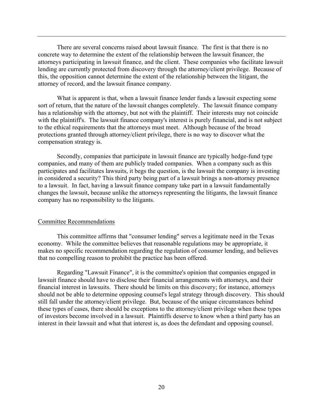There are several concerns raised about lawsuit finance. The first is that there is no concrete way to determine the extent of the relationship between the lawsuit financer, the attorneys participating in lawsuit finance, and the client. These companies who facilitate lawsuit lending are currently protected from discovery through the attorney/client privilege. Because of this, the opposition cannot determine the extent of the relationship between the litigant, the attorney of record, and the lawsuit finance company.

 What is apparent is that, when a lawsuit finance lender funds a lawsuit expecting some sort of return, that the nature of the lawsuit changes completely. The lawsuit finance company has a relationship with the attorney, but not with the plaintiff. Their interests may not coincide with the plaintiff's. The lawsuit finance company's interest is purely financial, and is not subject to the ethical requirements that the attorneys must meet. Although because of the broad protections granted through attorney/client privilege, there is no way to discover what the compensation strategy is.

 Secondly, companies that participate in lawsuit finance are typically hedge-fund type companies, and many of them are publicly traded companies. When a company such as this participates and facilitates lawsuits, it begs the question, is the lawsuit the company is investing in considered a security? This third party being part of a lawsuit brings a non-attorney presence to a lawsuit. In fact, having a lawsuit finance company take part in a lawsuit fundamentally changes the lawsuit, because unlike the attorneys representing the litigants, the lawsuit finance company has no responsibility to the litigants.

#### Committee Recommendations

This committee affirms that "consumer lending" serves a legitimate need in the Texas economy. While the committee believes that reasonable regulations may be appropriate, it makes no specific recommendation regarding the regulation of consumer lending, and believes that no compelling reason to prohibit the practice has been offered.

Regarding "Lawsuit Finance", it is the committee's opinion that companies engaged in lawsuit finance should have to disclose their financial arrangements with attorneys, and their financial interest in lawsuits. There should be limits on this discovery; for instance, attorneys should not be able to determine opposing counsel's legal strategy through discovery. This should still fall under the attorney/client privilege. But, because of the unique circumstances behind these types of cases, there should be exceptions to the attorney/client privilege when these types of investors become involved in a lawsuit. Plaintiffs deserve to know when a third party has an interest in their lawsuit and what that interest is, as does the defendant and opposing counsel.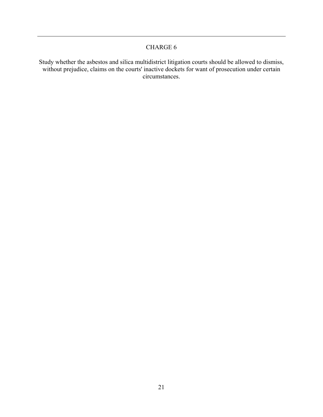Study whether the asbestos and silica multidistrict litigation courts should be allowed to dismiss, without prejudice, claims on the courts' inactive dockets for want of prosecution under certain circumstances.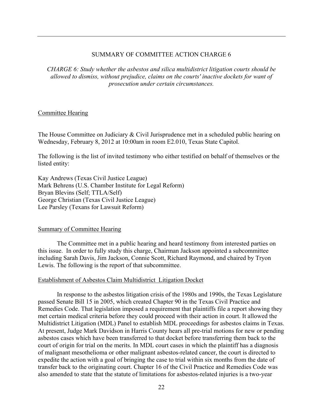*CHARGE 6: Study whether the asbestos and silica multidistrict litigation courts should be allowed to dismiss, without prejudice, claims on the courts' inactive dockets for want of prosecution under certain circumstances.*

#### Committee Hearing

The House Committee on Judiciary & Civil Jurisprudence met in a scheduled public hearing on Wednesday, February 8, 2012 at 10:00am in room E2.010, Texas State Capitol.

The following is the list of invited testimony who either testified on behalf of themselves or the listed entity:

Kay Andrews (Texas Civil Justice League) Mark Behrens (U.S. Chamber Institute for Legal Reform) Bryan Blevins (Self; TTLA/Self) George Christian (Texas Civil Justice League) Lee Parsley (Texans for Lawsuit Reform)

#### Summary of Committee Hearing

The Committee met in a public hearing and heard testimony from interested parties on this issue. In order to fully study this charge, Chairman Jackson appointed a subcommittee including Sarah Davis, Jim Jackson, Connie Scott, Richard Raymond, and chaired by Tryon Lewis. The following is the report of that subcommittee.

#### Establishment of Asbestos Claim Multidistrict Litigation Docket

 In response to the asbestos litigation crisis of the 1980s and 1990s, the Texas Legislature passed Senate Bill 15 in 2005, which created Chapter 90 in the Texas Civil Practice and Remedies Code. That legislation imposed a requirement that plaintiffs file a report showing they met certain medical criteria before they could proceed with their action in court. It allowed the Multidistrict Litigation (MDL) Panel to establish MDL proceedings for asbestos claims in Texas. At present, Judge Mark Davidson in Harris County hears all pre-trial motions for new or pending asbestos cases which have been transferred to that docket before transferring them back to the court of origin for trial on the merits. In MDL court cases in which the plaintiff has a diagnosis of malignant mesothelioma or other malignant asbestos-related cancer, the court is directed to expedite the action with a goal of bringing the case to trial within six months from the date of transfer back to the originating court. Chapter 16 of the Civil Practice and Remedies Code was also amended to state that the statute of limitations for asbestos-related injuries is a two-year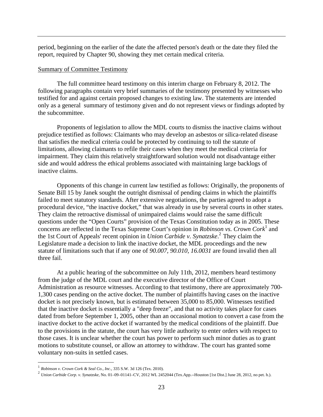period, beginning on the earlier of the date the affected person's death or the date they filed the report, required by Chapter 90, showing they met certain medical criteria.

#### Summary of Committee Testimony

The full committee heard testimony on this interim charge on February 8, 2012. The following paragraphs contain very brief summaries of the testimony presented by witnesses who testified for and against certain proposed changes to existing law. The statements are intended only as a general summary of testimony given and do not represent views or findings adopted by the subcommittee.

Proponents of legislation to allow the MDL courts to dismiss the inactive claims without prejudice testified as follows: Claimants who may develop an asbestos or silica-related disease that satisfies the medical criteria could be protected by continuing to toll the statute of limitations, allowing claimants to refile their cases when they meet the medical criteria for impairment. They claim this relatively straightforward solution would not disadvantage either side and would address the ethical problems associated with maintaining large backlogs of inactive claims.

Opponents of this change in current law testified as follows: Originally, the proponents of Senate Bill 15 by Janek sought the outright dismissal of pending claims in which the plaintiffs failed to meet statutory standards. After extensive negotiations, the parties agreed to adopt a procedural device, "the inactive docket," that was already in use by several courts in other states. They claim the retroactive dismissal of unimpaired claims would raise the same difficult questions under the "Open Courts" provision of the Texas Constitution today as in 2005. These concerns are reflected in the Texas Supreme Court's opinion in *Robinson vs. Crown Cork*<sup>1</sup> and the 1st Court of Appeals' recent opinion in *Union Carbide v. Synatzske*. 2 They claim the Legislature made a decision to link the inactive docket, the MDL proceedings and the new statute of limitations such that if any one of *90.007, 90.010, 16.0031* are found invalid then all three fail.

At a public hearing of the subcommittee on July 11th, 2012, members heard testimony from the judge of the MDL court and the executive director of the Office of Court Administration as resource witnesses. According to that testimony, there are approximately 700- 1,300 cases pending on the active docket. The number of plaintiffs having cases on the inactive docket is not precisely known, but is estimated between 35,000 to 85,000. Witnesses testified that the inactive docket is essentially a "deep freeze", and that no activity takes place for cases dated from before September 1, 2005, other than an occasional motion to convert a case from the inactive docket to the active docket if warranted by the medical conditions of the plaintiff. Due to the provisions in the statute, the court has very little authority to enter orders with respect to those cases. It is unclear whether the court has power to perform such minor duties as to grant motions to substitute counsel, or allow an attorney to withdraw. The court has granted some voluntary non-suits in settled cases.

1

<sup>1</sup> *Robinson v. Crown Cork & Seal Co., Inc*., 335 S.W. 3d 126 (Tex. 2010).

<sup>2</sup> *Union Carbide Corp. v. Synatzske*, No. 01–09–01141–CV, 2012 WL 2452044 (Tex.App.--Houston [1st Dist.] June 28, 2012, no pet. h.).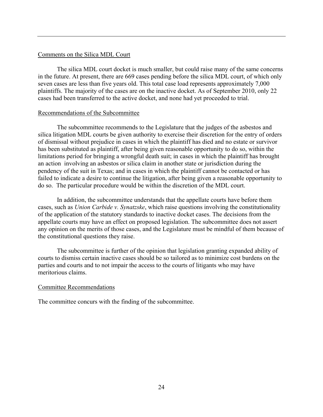#### Comments on the Silica MDL Court

The silica MDL court docket is much smaller, but could raise many of the same concerns in the future. At present, there are 669 cases pending before the silica MDL court, of which only seven cases are less than five years old. This total case load represents approximately 7,000 plaintiffs. The majority of the cases are on the inactive docket. As of September 2010, only 22 cases had been transferred to the active docket, and none had yet proceeded to trial.

#### Recommendations of the Subcommittee

The subcommittee recommends to the Legislature that the judges of the asbestos and silica litigation MDL courts be given authority to exercise their discretion for the entry of orders of dismissal without prejudice in cases in which the plaintiff has died and no estate or survivor has been substituted as plaintiff, after being given reasonable opportunity to do so, within the limitations period for bringing a wrongful death suit; in cases in which the plaintiff has brought an action involving an asbestos or silica claim in another state or jurisdiction during the pendency of the suit in Texas; and in cases in which the plaintiff cannot be contacted or has failed to indicate a desire to continue the litigation, after being given a reasonable opportunity to do so. The particular procedure would be within the discretion of the MDL court.

 In addition, the subcommittee understands that the appellate courts have before them cases, such as *Union Carbide v. Synatzske*, which raise questions involving the constitutionality of the application of the statutory standards to inactive docket cases. The decisions from the appellate courts may have an effect on proposed legislation. The subcommittee does not assert any opinion on the merits of those cases, and the Legislature must be mindful of them because of the constitutional questions they raise.

The subcommittee is further of the opinion that legislation granting expanded ability of courts to dismiss certain inactive cases should be so tailored as to minimize cost burdens on the parties and courts and to not impair the access to the courts of litigants who may have meritorious claims.

#### Committee Recommendations

The committee concurs with the finding of the subcommittee.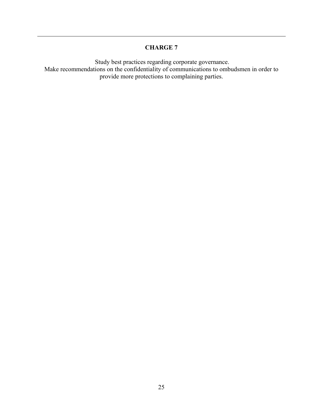Study best practices regarding corporate governance. Make recommendations on the confidentiality of communications to ombudsmen in order to provide more protections to complaining parties.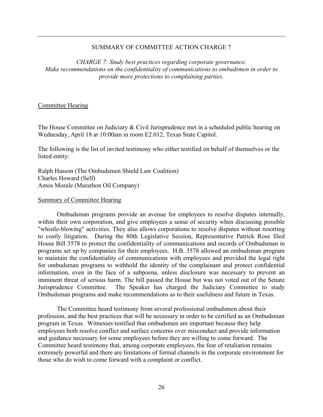*CHARGE 7: Study best practices regarding corporate governance. Make recommendations on the confidentiality of communications to ombudsmen in order to provide more protections to complaining parties.*

#### Committee Hearing

The House Committee on Judiciary & Civil Jurisprudence met in a scheduled public hearing on Wednesday, April 18 at 10:00am in room E2.012, Texas State Capitol.

The following is the list of invited testimony who either testified on behalf of themselves or the listed entity:

Ralph Hasson (The Ombudsmen Shield Law Coalition) Charles Howard (Self) Amos Morale (Marathon Oil Company)

#### Summary of Committee Hearing

Ombudsman programs provide an avenue for employees to resolve disputes internally, within their own corporation, and give employees a sense of security when discussing possible "whistle-blowing" activities. They also allows corporations to resolve disputes without resorting to costly litigation. During the 80th Legislative Session, Representative Patrick Rose filed House Bill 3578 to protect the confidentiality of communications and records of Ombudsman in programs set up by companies for their employees. H.B. 3578 allowed an ombudsman program to maintain the confidentiality of communications with employees and provided the legal right for ombudsman programs to withhold the identity of the complainant and protect confidential information, even in the face of a subpoena, unless disclosure was necessary to prevent an imminent threat of serious harm. The bill passed the House but was not voted out of the Senate Jurisprudence Committee. The Speaker has charged the Judiciary Committee to study Ombudsman programs and make recommendations as to their usefulness and future in Texas.

The Committee heard testimony from several professional ombudsmen about their profession, and the best practices that will be necessary in order to be certified as an Ombudsman program in Texas. Witnesses testified that ombudsmen are important because they help employees both resolve conflict and surface concerns over misconduct and provide information and guidance necessary for some employees before they are willing to come forward. The Committee heard testimony that, among corporate employees, the fear of retaliation remains extremely powerful and there are limitations of formal channels in the corporate environment for those who do wish to come forward with a complaint or conflict.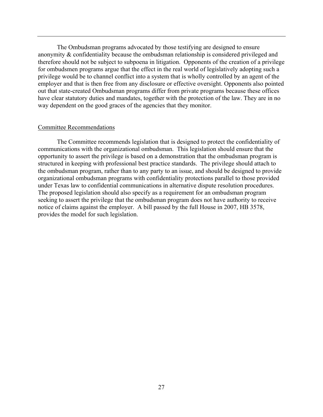The Ombudsman programs advocated by those testifying are designed to ensure anonymity & confidentiality because the ombudsman relationship is considered privileged and therefore should not be subject to subpoena in litigation. Opponents of the creation of a privilege for ombudsmen programs argue that the effect in the real world of legislatively adopting such a privilege would be to channel conflict into a system that is wholly controlled by an agent of the employer and that is then free from any disclosure or effective oversight. Opponents also pointed out that state-created Ombudsman programs differ from private programs because these offices have clear statutory duties and mandates, together with the protection of the law. They are in no way dependent on the good graces of the agencies that they monitor.

#### Committee Recommendations

The Committee recommends legislation that is designed to protect the confidentiality of communications with the organizational ombudsman. This legislation should ensure that the opportunity to assert the privilege is based on a demonstration that the ombudsman program is structured in keeping with professional best practice standards. The privilege should attach to the ombudsman program, rather than to any party to an issue, and should be designed to provide organizational ombudsman programs with confidentiality protections parallel to those provided under Texas law to confidential communications in alternative dispute resolution procedures. The proposed legislation should also specify as a requirement for an ombudsman program seeking to assert the privilege that the ombudsman program does not have authority to receive notice of claims against the employer. A bill passed by the full House in 2007, HB 3578, provides the model for such legislation.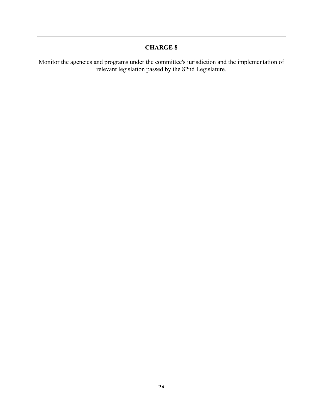Monitor the agencies and programs under the committee's jurisdiction and the implementation of relevant legislation passed by the 82nd Legislature.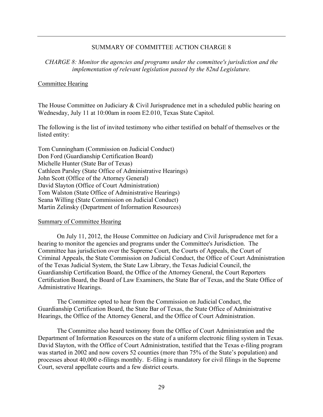*CHARGE 8: Monitor the agencies and programs under the committee's jurisdiction and the implementation of relevant legislation passed by the 82nd Legislature.*

#### Committee Hearing

The House Committee on Judiciary & Civil Jurisprudence met in a scheduled public hearing on Wednesday, July 11 at 10:00am in room E2.010, Texas State Capitol.

The following is the list of invited testimony who either testified on behalf of themselves or the listed entity:

Tom Cunningham (Commission on Judicial Conduct) Don Ford (Guardianship Certification Board) Michelle Hunter (State Bar of Texas) Cathleen Parsley (State Office of Administrative Hearings) John Scott (Office of the Attorney General) David Slayton (Office of Court Administration) Tom Walston (State Office of Administrative Hearings) Seana Willing (State Commission on Judicial Conduct) Martin Zelinsky (Department of Information Resources)

#### Summary of Committee Hearing

On July 11, 2012, the House Committee on Judiciary and Civil Jurisprudence met for a hearing to monitor the agencies and programs under the Committee's Jurisdiction. The Committee has jurisdiction over the Supreme Court, the Courts of Appeals, the Court of Criminal Appeals, the State Commission on Judicial Conduct, the Office of Court Administration of the Texas Judicial System, the State Law Library, the Texas Judicial Council, the Guardianship Certification Board, the Office of the Attorney General, the Court Reporters Certification Board, the Board of Law Examiners, the State Bar of Texas, and the State Office of Administrative Hearings.

The Committee opted to hear from the Commission on Judicial Conduct, the Guardianship Certification Board, the State Bar of Texas, the State Office of Administrative Hearings, the Office of the Attorney General, and the Office of Court Administration.

The Committee also heard testimony from the Office of Court Administration and the Department of Information Resources on the state of a uniform electronic filing system in Texas. David Slayton, with the Office of Court Administration, testified that the Texas e-filing program was started in 2002 and now covers 52 counties (more than 75% of the State's population) and processes about 40,000 e-filings monthly. E-filing is mandatory for civil filings in the Supreme Court, several appellate courts and a few district courts.